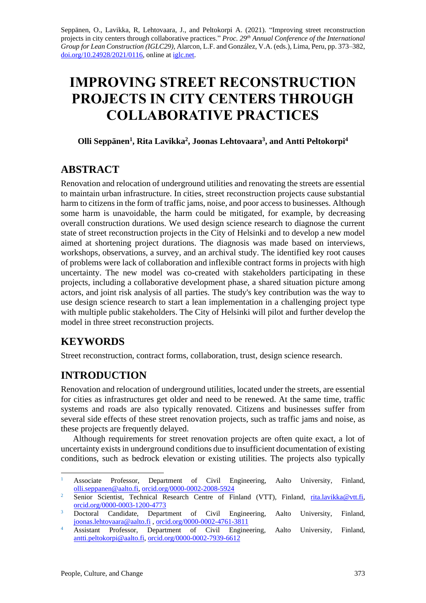Seppänen, O., Lavikka, R, Lehtovaara, J., and Peltokorpi A. (2021). "Improving street reconstruction projects in city centers through collaborative practices." *Proc. 29 th Annual Conference of the International Group for Lean Construction (IGLC29),* Alarcon, L.F. and González, V.A. (eds.)*,* Lima, Peru, pp. 373–382, [doi.org/10.24928/2021/0116,](https://doi.org/10.24928/2021/0116) online a[t iglc.net.](http://iglc.net/)

# **IMPROVING STREET RECONSTRUCTION PROJECTS IN CITY CENTERS THROUGH COLLABORATIVE PRACTICES**

**Olli Seppänen<sup>1</sup> , Rita Lavikka<sup>2</sup> , Joonas Lehtovaara<sup>3</sup> , and Antti Peltokorpi<sup>4</sup>**

## **ABSTRACT**

Renovation and relocation of underground utilities and renovating the streets are essential to maintain urban infrastructure. In cities, street reconstruction projects cause substantial harm to citizens in the form of traffic jams, noise, and poor access to businesses. Although some harm is unavoidable, the harm could be mitigated, for example, by decreasing overall construction durations. We used design science research to diagnose the current state of street reconstruction projects in the City of Helsinki and to develop a new model aimed at shortening project durations. The diagnosis was made based on interviews, workshops, observations, a survey, and an archival study. The identified key root causes of problems were lack of collaboration and inflexible contract forms in projects with high uncertainty. The new model was co-created with stakeholders participating in these projects, including a collaborative development phase, a shared situation picture among actors, and joint risk analysis of all parties. The study's key contribution was the way to use design science research to start a lean implementation in a challenging project type with multiple public stakeholders. The City of Helsinki will pilot and further develop the model in three street reconstruction projects.

## **KEYWORDS**

Street reconstruction, contract forms, collaboration, trust, design science research.

# **INTRODUCTION**

Renovation and relocation of underground utilities, located under the streets, are essential for cities as infrastructures get older and need to be renewed. At the same time, traffic systems and roads are also typically renovated. Citizens and businesses suffer from several side effects of these street renovation projects, such as traffic jams and noise, as these projects are frequently delayed.

Although requirements for street renovation projects are often quite exact, a lot of uncertainty exists in underground conditions due to insufficient documentation of existing conditions, such as bedrock elevation or existing utilities. The projects also typically

<sup>&</sup>lt;sup>1</sup> Associate Professor, Department of Civil Engineering, Aalto University, Finland, [olli.seppanen@aalto.fi,](mailto:olli.seppanen@aalto.fi) [orcid.org/0000-0002-2008-5924](https://orcid.org/0000-0002-2008-5924)

<sup>&</sup>lt;sup>2</sup> Senior Scientist, Technical Research Centre of Finland (VTT), Finland, [rita.lavikka@vtt.fi,](mailto:rita.lavikka@vtt.fi) [orcid.org/0000-0003-1200-4773](https://orcid.org/0000-0003-1200-4773)

<sup>&</sup>lt;sup>3</sup> Doctoral Candidate, Department of Civil Engineering, Aalto University, Finland, [joonas.lehtovaara@aalto.fi](mailto:joonas.lehtovaara@aalto.fi) , [orcid.org/0000-0002-4761-3811](https://orcid.org/0000-0002-4761-3811)

<sup>&</sup>lt;sup>4</sup> Assistant Professor, Department of Civil Engineering, Aalto University, Finland, [antti.peltokorpi@aalto.fi,](mailto:antti.peltokorpi@aalto.fi) [orcid.org/0000-0002-7939-6612](https://orcid.org/0000-0002-7939-6612)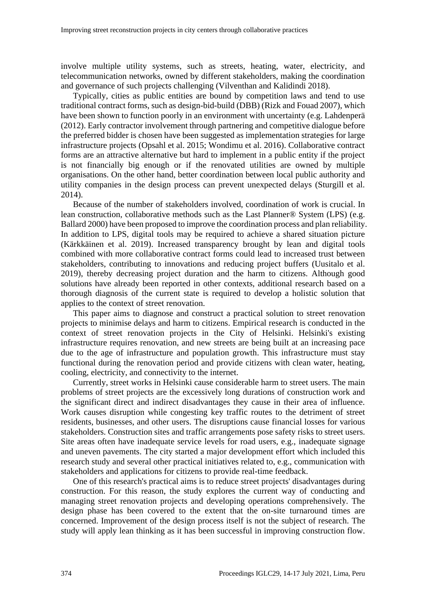involve multiple utility systems, such as streets, heating, water, electricity, and telecommunication networks, owned by different stakeholders, making the coordination and governance of such projects challenging (Vilventhan and Kalidindi 2018).

Typically, cities as public entities are bound by competition laws and tend to use traditional contract forms, such as design-bid-build (DBB) (Rizk and Fouad 2007), which have been shown to function poorly in an environment with uncertainty (e.g. Lahdenperä (2012). Early contractor involvement through partnering and competitive dialogue before the preferred bidder is chosen have been suggested as implementation strategies for large infrastructure projects (Opsahl et al. 2015; Wondimu et al. 2016). Collaborative contract forms are an attractive alternative but hard to implement in a public entity if the project is not financially big enough or if the renovated utilities are owned by multiple organisations. On the other hand, better coordination between local public authority and utility companies in the design process can prevent unexpected delays (Sturgill et al. 2014).

Because of the number of stakeholders involved, coordination of work is crucial. In lean construction, collaborative methods such as the Last Planner® System (LPS) (e.g. Ballard 2000) have been proposed to improve the coordination process and plan reliability. In addition to LPS, digital tools may be required to achieve a shared situation picture (Kärkkäinen et al. 2019). Increased transparency brought by lean and digital tools combined with more collaborative contract forms could lead to increased trust between stakeholders, contributing to innovations and reducing project buffers (Uusitalo et al. 2019), thereby decreasing project duration and the harm to citizens. Although good solutions have already been reported in other contexts, additional research based on a thorough diagnosis of the current state is required to develop a holistic solution that applies to the context of street renovation.

This paper aims to diagnose and construct a practical solution to street renovation projects to minimise delays and harm to citizens. Empirical research is conducted in the context of street renovation projects in the City of Helsinki. Helsinki's existing infrastructure requires renovation, and new streets are being built at an increasing pace due to the age of infrastructure and population growth. This infrastructure must stay functional during the renovation period and provide citizens with clean water, heating, cooling, electricity, and connectivity to the internet.

Currently, street works in Helsinki cause considerable harm to street users. The main problems of street projects are the excessively long durations of construction work and the significant direct and indirect disadvantages they cause in their area of influence. Work causes disruption while congesting key traffic routes to the detriment of street residents, businesses, and other users. The disruptions cause financial losses for various stakeholders. Construction sites and traffic arrangements pose safety risks to street users. Site areas often have inadequate service levels for road users, e.g., inadequate signage and uneven pavements. The city started a major development effort which included this research study and several other practical initiatives related to, e.g., communication with stakeholders and applications for citizens to provide real-time feedback.

One of this research's practical aims is to reduce street projects' disadvantages during construction. For this reason, the study explores the current way of conducting and managing street renovation projects and developing operations comprehensively. The design phase has been covered to the extent that the on-site turnaround times are concerned. Improvement of the design process itself is not the subject of research. The study will apply lean thinking as it has been successful in improving construction flow.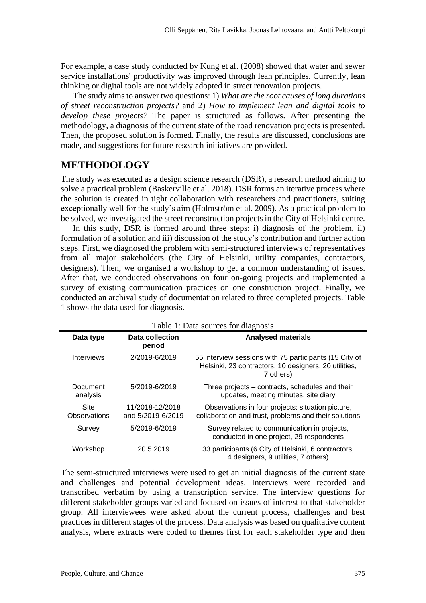For example, a case study conducted by Kung et al. (2008) showed that water and sewer service installations' productivity was improved through lean principles. Currently, lean thinking or digital tools are not widely adopted in street renovation projects.

The study aims to answer two questions: 1) *What are the root causes of long durations of street reconstruction projects?* and 2) *How to implement lean and digital tools to develop these projects?* The paper is structured as follows. After presenting the methodology, a diagnosis of the current state of the road renovation projects is presented. Then, the proposed solution is formed. Finally, the results are discussed, conclusions are made, and suggestions for future research initiatives are provided.

## **METHODOLOGY**

The study was executed as a design science research (DSR), a research method aiming to solve a practical problem (Baskerville et al. 2018). DSR forms an iterative process where the solution is created in tight collaboration with researchers and practitioners, suiting exceptionally well for the study's aim (Holmström et al. 2009). As a practical problem to be solved, we investigated the street reconstruction projects in the City of Helsinki centre.

In this study, DSR is formed around three steps: i) diagnosis of the problem, ii) formulation of a solution and iii) discussion of the study's contribution and further action steps. First, we diagnosed the problem with semi-structured interviews of representatives from all major stakeholders (the City of Helsinki, utility companies, contractors, designers). Then, we organised a workshop to get a common understanding of issues. After that, we conducted observations on four on-going projects and implemented a survey of existing communication practices on one construction project. Finally, we conducted an archival study of documentation related to three completed projects. Table 1 shows the data used for diagnosis.

| Table 1: Data sources for diagnosis |                                      |                                                                                                                              |  |  |  |  |
|-------------------------------------|--------------------------------------|------------------------------------------------------------------------------------------------------------------------------|--|--|--|--|
| Data type                           | Data collection<br>period            | <b>Analysed materials</b>                                                                                                    |  |  |  |  |
| Interviews                          | 2/2019-6/2019                        | 55 interview sessions with 75 participants (15 City of<br>Helsinki, 23 contractors, 10 designers, 20 utilities,<br>7 others) |  |  |  |  |
| Document<br>analysis                | 5/2019-6/2019                        | Three projects – contracts, schedules and their<br>updates, meeting minutes, site diary                                      |  |  |  |  |
| Site<br>Observations                | 11/2018-12/2018<br>and 5/2019-6/2019 | Observations in four projects: situation picture,<br>collaboration and trust, problems and their solutions                   |  |  |  |  |
| Survey                              | 5/2019-6/2019                        | Survey related to communication in projects,<br>conducted in one project, 29 respondents                                     |  |  |  |  |
| Workshop                            | 20.5.2019                            | 33 participants (6 City of Helsinki, 6 contractors,<br>4 designers, 9 utilities, 7 others)                                   |  |  |  |  |

The semi-structured interviews were used to get an initial diagnosis of the current state and challenges and potential development ideas. Interviews were recorded and transcribed verbatim by using a transcription service. The interview questions for different stakeholder groups varied and focused on issues of interest to that stakeholder group. All interviewees were asked about the current process, challenges and best practices in different stages of the process. Data analysis was based on qualitative content analysis, where extracts were coded to themes first for each stakeholder type and then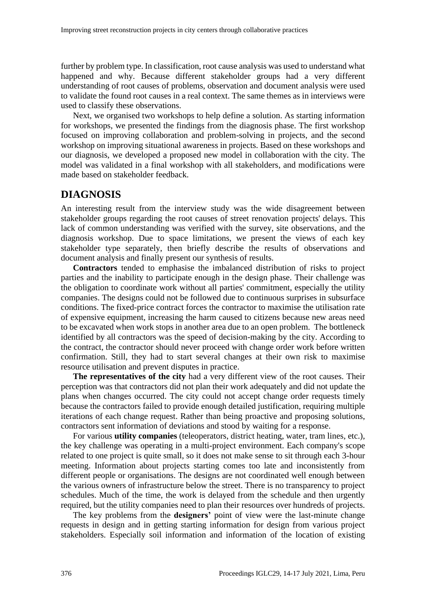further by problem type. In classification, root cause analysis was used to understand what happened and why. Because different stakeholder groups had a very different understanding of root causes of problems, observation and document analysis were used to validate the found root causes in a real context. The same themes as in interviews were used to classify these observations.

Next, we organised two workshops to help define a solution. As starting information for workshops, we presented the findings from the diagnosis phase. The first workshop focused on improving collaboration and problem-solving in projects, and the second workshop on improving situational awareness in projects. Based on these workshops and our diagnosis, we developed a proposed new model in collaboration with the city. The model was validated in a final workshop with all stakeholders, and modifications were made based on stakeholder feedback.

#### **DIAGNOSIS**

An interesting result from the interview study was the wide disagreement between stakeholder groups regarding the root causes of street renovation projects' delays. This lack of common understanding was verified with the survey, site observations, and the diagnosis workshop. Due to space limitations, we present the views of each key stakeholder type separately, then briefly describe the results of observations and document analysis and finally present our synthesis of results.

**Contractors** tended to emphasise the imbalanced distribution of risks to project parties and the inability to participate enough in the design phase. Their challenge was the obligation to coordinate work without all parties' commitment, especially the utility companies. The designs could not be followed due to continuous surprises in subsurface conditions. The fixed-price contract forces the contractor to maximise the utilisation rate of expensive equipment, increasing the harm caused to citizens because new areas need to be excavated when work stops in another area due to an open problem. The bottleneck identified by all contractors was the speed of decision-making by the city. According to the contract, the contractor should never proceed with change order work before written confirmation. Still, they had to start several changes at their own risk to maximise resource utilisation and prevent disputes in practice.

**The representatives of the city** had a very different view of the root causes. Their perception was that contractors did not plan their work adequately and did not update the plans when changes occurred. The city could not accept change order requests timely because the contractors failed to provide enough detailed justification, requiring multiple iterations of each change request. Rather than being proactive and proposing solutions, contractors sent information of deviations and stood by waiting for a response.

For various **utility companies** (teleoperators, district heating, water, tram lines, etc.), the key challenge was operating in a multi-project environment. Each company's scope related to one project is quite small, so it does not make sense to sit through each 3-hour meeting. Information about projects starting comes too late and inconsistently from different people or organisations. The designs are not coordinated well enough between the various owners of infrastructure below the street. There is no transparency to project schedules. Much of the time, the work is delayed from the schedule and then urgently required, but the utility companies need to plan their resources over hundreds of projects.

The key problems from the **designers'** point of view were the last-minute change requests in design and in getting starting information for design from various project stakeholders. Especially soil information and information of the location of existing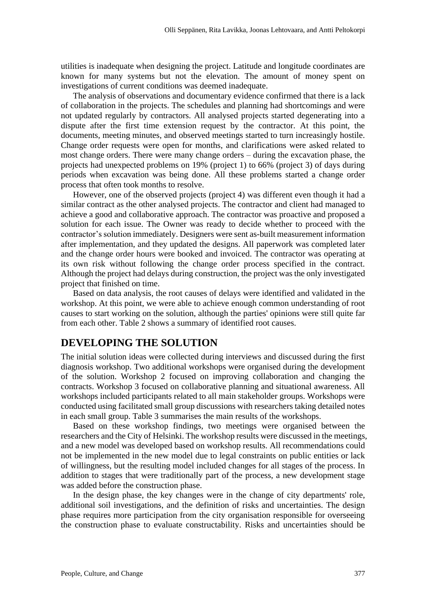utilities is inadequate when designing the project. Latitude and longitude coordinates are known for many systems but not the elevation. The amount of money spent on investigations of current conditions was deemed inadequate.

The analysis of observations and documentary evidence confirmed that there is a lack of collaboration in the projects. The schedules and planning had shortcomings and were not updated regularly by contractors. All analysed projects started degenerating into a dispute after the first time extension request by the contractor. At this point, the documents, meeting minutes, and observed meetings started to turn increasingly hostile. Change order requests were open for months, and clarifications were asked related to most change orders. There were many change orders – during the excavation phase, the projects had unexpected problems on 19% (project 1) to 66% (project 3) of days during periods when excavation was being done. All these problems started a change order process that often took months to resolve.

However, one of the observed projects (project 4) was different even though it had a similar contract as the other analysed projects. The contractor and client had managed to achieve a good and collaborative approach. The contractor was proactive and proposed a solution for each issue. The Owner was ready to decide whether to proceed with the contractor's solution immediately. Designers were sent as-built measurement information after implementation, and they updated the designs. All paperwork was completed later and the change order hours were booked and invoiced. The contractor was operating at its own risk without following the change order process specified in the contract. Although the project had delays during construction, the project was the only investigated project that finished on time.

Based on data analysis, the root causes of delays were identified and validated in the workshop. At this point, we were able to achieve enough common understanding of root causes to start working on the solution, although the parties' opinions were still quite far from each other. Table 2 shows a summary of identified root causes.

#### **DEVELOPING THE SOLUTION**

The initial solution ideas were collected during interviews and discussed during the first diagnosis workshop. Two additional workshops were organised during the development of the solution. Workshop 2 focused on improving collaboration and changing the contracts. Workshop 3 focused on collaborative planning and situational awareness. All workshops included participants related to all main stakeholder groups. Workshops were conducted using facilitated small group discussions with researchers taking detailed notes in each small group. Table 3 summarises the main results of the workshops.

Based on these workshop findings, two meetings were organised between the researchers and the City of Helsinki. The workshop results were discussed in the meetings, and a new model was developed based on workshop results. All recommendations could not be implemented in the new model due to legal constraints on public entities or lack of willingness, but the resulting model included changes for all stages of the process. In addition to stages that were traditionally part of the process, a new development stage was added before the construction phase.

In the design phase, the key changes were in the change of city departments' role, additional soil investigations, and the definition of risks and uncertainties. The design phase requires more participation from the city organisation responsible for overseeing the construction phase to evaluate constructability. Risks and uncertainties should be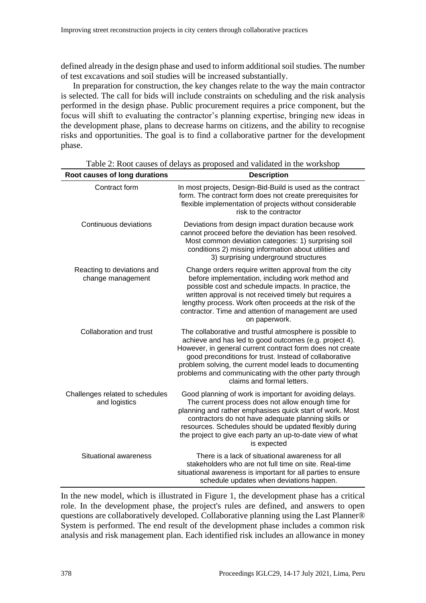defined already in the design phase and used to inform additional soil studies. The number of test excavations and soil studies will be increased substantially.

In preparation for construction, the key changes relate to the way the main contractor is selected. The call for bids will include constraints on scheduling and the risk analysis performed in the design phase. Public procurement requires a price component, but the focus will shift to evaluating the contractor's planning expertise, bringing new ideas in the development phase, plans to decrease harms on citizens, and the ability to recognise risks and opportunities. The goal is to find a collaborative partner for the development phase.

| Root causes of long durations                    | <b>Description</b>                                                                                                                                                                                                                                                                                                                                                                            |  |  |
|--------------------------------------------------|-----------------------------------------------------------------------------------------------------------------------------------------------------------------------------------------------------------------------------------------------------------------------------------------------------------------------------------------------------------------------------------------------|--|--|
| Contract form                                    | In most projects, Design-Bid-Build is used as the contract<br>form. The contract form does not create prerequisites for<br>flexible implementation of projects without considerable<br>risk to the contractor                                                                                                                                                                                 |  |  |
| Continuous deviations                            | Deviations from design impact duration because work<br>cannot proceed before the deviation has been resolved.<br>Most common deviation categories: 1) surprising soil<br>conditions 2) missing information about utilities and<br>3) surprising underground structures                                                                                                                        |  |  |
| Reacting to deviations and<br>change management  | Change orders require written approval from the city<br>before implementation, including work method and<br>possible cost and schedule impacts. In practice, the<br>written approval is not received timely but requires a<br>lengthy process. Work often proceeds at the risk of the<br>contractor. Time and attention of management are used<br>on paperwork.                               |  |  |
| Collaboration and trust                          | The collaborative and trustful atmosphere is possible to<br>achieve and has led to good outcomes (e.g. project 4).<br>However, in general current contract form does not create<br>good preconditions for trust. Instead of collaborative<br>problem solving, the current model leads to documenting<br>problems and communicating with the other party through<br>claims and formal letters. |  |  |
| Challenges related to schedules<br>and logistics | Good planning of work is important for avoiding delays.<br>The current process does not allow enough time for<br>planning and rather emphasises quick start of work. Most<br>contractors do not have adequate planning skills or<br>resources. Schedules should be updated flexibly during<br>the project to give each party an up-to-date view of what<br>is expected                        |  |  |
| Situational awareness                            | There is a lack of situational awareness for all<br>stakeholders who are not full time on site. Real-time<br>situational awareness is important for all parties to ensure<br>schedule updates when deviations happen.                                                                                                                                                                         |  |  |

Table 2: Root causes of delays as proposed and validated in the workshop

In the new model, which is illustrated in Figure 1, the development phase has a critical role. In the development phase, the project's rules are defined, and answers to open questions are collaboratively developed. Collaborative planning using the Last Planner® System is performed. The end result of the development phase includes a common risk analysis and risk management plan. Each identified risk includes an allowance in money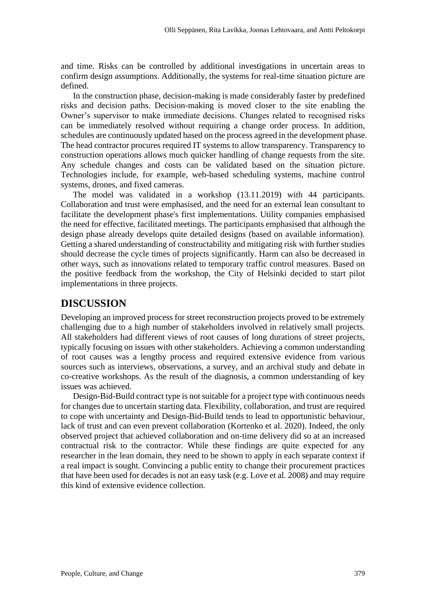and time. Risks can be controlled by additional investigations in uncertain areas to confirm design assumptions. Additionally, the systems for real-time situation picture are defined.

In the construction phase, decision-making is made considerably faster by predefined risks and decision paths. Decision-making is moved closer to the site enabling the Owner's supervisor to make immediate decisions. Changes related to recognised risks can be immediately resolved without requiring a change order process. In addition, schedules are continuously updated based on the process agreed in the development phase. The head contractor procures required IT systems to allow transparency. Transparency to construction operations allows much quicker handling of change requests from the site. Any schedule changes and costs can be validated based on the situation picture. Technologies include, for example, web-based scheduling systems, machine control systems, drones, and fixed cameras.

The model was validated in a workshop (13.11.2019) with 44 participants. Collaboration and trust were emphasised, and the need for an external lean consultant to facilitate the development phase's first implementations. Utility companies emphasised the need for effective, facilitated meetings. The participants emphasised that although the design phase already develops quite detailed designs (based on available information). Getting a shared understanding of constructability and mitigating risk with further studies should decrease the cycle times of projects significantly. Harm can also be decreased in other ways, such as innovations related to temporary traffic control measures. Based on the positive feedback from the workshop, the City of Helsinki decided to start pilot implementations in three projects.

#### **DISCUSSION**

Developing an improved process for street reconstruction projects proved to be extremely challenging due to a high number of stakeholders involved in relatively small projects. All stakeholders had different views of root causes of long durations of street projects, typically focusing on issues with other stakeholders. Achieving a common understanding of root causes was a lengthy process and required extensive evidence from various sources such as interviews, observations, a survey, and an archival study and debate in co-creative workshops. As the result of the diagnosis, a common understanding of key issues was achieved.

Design-Bid-Build contract type is not suitable for a project type with continuous needs for changes due to uncertain starting data. Flexibility, collaboration, and trust are required to cope with uncertainty and Design-Bid-Build tends to lead to opportunistic behaviour, lack of trust and can even prevent collaboration (Kortenko et al. 2020). Indeed, the only observed project that achieved collaboration and on-time delivery did so at an increased contractual risk to the contractor. While these findings are quite expected for any researcher in the lean domain, they need to be shown to apply in each separate context if a real impact is sought. Convincing a public entity to change their procurement practices that have been used for decades is not an easy task (e.g. Love et al. 2008) and may require this kind of extensive evidence collection.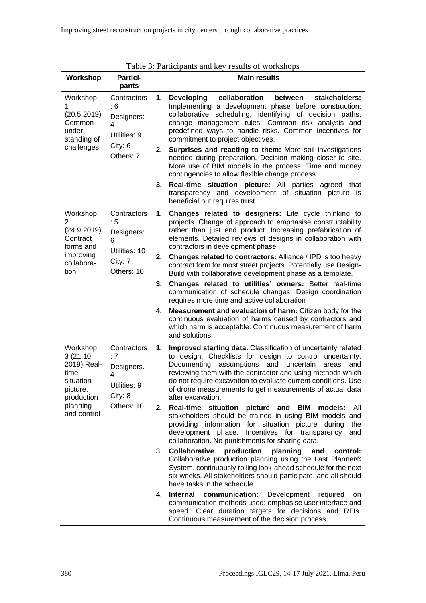| Table 3: Participants and key results of workshops                                                            |                                                                                 |                      |                                                                                                                                                                                                                                                                                                                                                                                                                                                                                                                                                                                                                                                                                                                                                                                                                                                                                                                                                                                                                                                                                                                                                                                     |  |
|---------------------------------------------------------------------------------------------------------------|---------------------------------------------------------------------------------|----------------------|-------------------------------------------------------------------------------------------------------------------------------------------------------------------------------------------------------------------------------------------------------------------------------------------------------------------------------------------------------------------------------------------------------------------------------------------------------------------------------------------------------------------------------------------------------------------------------------------------------------------------------------------------------------------------------------------------------------------------------------------------------------------------------------------------------------------------------------------------------------------------------------------------------------------------------------------------------------------------------------------------------------------------------------------------------------------------------------------------------------------------------------------------------------------------------------|--|
| Workshop                                                                                                      | <b>Partici-</b><br>pants                                                        |                      | <b>Main results</b>                                                                                                                                                                                                                                                                                                                                                                                                                                                                                                                                                                                                                                                                                                                                                                                                                                                                                                                                                                                                                                                                                                                                                                 |  |
| Workshop<br>1<br>(20.5.2019)<br>Common<br>under-<br>standing of<br>challenges                                 | Contractors<br>:6<br>Designers:<br>4<br>Utilities: 9<br>City: 6<br>Others: 7    | 1.<br>2.<br>3.       | <b>Developing</b><br>collaboration<br>between<br>stakeholders:<br>Implementing a development phase before construction:<br>collaborative scheduling, identifying of decision paths,<br>change management rules. Common risk analysis and<br>predefined ways to handle risks. Common incentives for<br>commitment to project objectives.<br>Surprises and reacting to them: More soil investigations<br>needed during preparation. Decision making closer to site.<br>More use of BIM models in the process. Time and money<br>contingencies to allow flexible change process.<br>Real-time situation picture: All parties agreed that<br>transparency and development of situation picture is<br>beneficial but requires trust.                                                                                                                                                                                                                                                                                                                                                                                                                                                     |  |
| Workshop<br>2<br>(24.9.2019)<br>Contract<br>forms and<br>improving<br>collabora-<br>tion                      | Contractors<br>: 5<br>Designers:<br>6<br>Utilities: 10<br>City: 7<br>Others: 10 | 1.<br>2.<br>3.<br>4. | Changes related to designers: Life cycle thinking to<br>projects. Change of approach to emphasise constructability<br>rather than just end product. Increasing prefabrication of<br>elements. Detailed reviews of designs in collaboration with<br>contractors in development phase.<br><b>Changes related to contractors: Alliance / IPD is too heavy</b><br>contract form for most street projects. Potentially use Design-<br>Build with collaborative development phase as a template.<br>Changes related to utilities' owners: Better real-time<br>communication of schedule changes. Design coordination<br>requires more time and active collaboration<br>Measurement and evaluation of harm: Citizen body for the<br>continuous evaluation of harms caused by contractors and<br>which harm is acceptable. Continuous measurement of harm<br>and solutions.                                                                                                                                                                                                                                                                                                                 |  |
| Workshop<br>3(21.10.<br>2019) Real-<br>time<br>situation<br>picture,<br>production<br>planning<br>and control | Contractors<br>: 7<br>Designers.<br>4<br>Utilities: 9<br>City: 8<br>Others: 10  | 1.<br>2.<br>3.<br>4. | Improved starting data. Classification of uncertainty related<br>to design. Checklists for design to control uncertainty.<br>Documenting<br>assumptions and uncertain<br>areas<br>and<br>reviewing them with the contractor and using methods which<br>do not require excavation to evaluate current conditions. Use<br>of drone measurements to get measurements of actual data<br>after excavation.<br>Real-time situation picture and BIM models:<br>All<br>stakeholders should be trained in using BIM models and<br>providing information for situation picture during<br>the<br>development phase. Incentives for transparency<br>and<br>collaboration. No punishments for sharing data.<br>production<br><b>Collaborative</b><br>planning<br>and<br>control:<br>Collaborative production planning using the Last Planner®<br>System, continuously rolling look-ahead schedule for the next<br>six weeks. All stakeholders should participate, and all should<br>have tasks in the schedule.<br>Internal communication:<br>Development<br>required<br>on<br>communication methods used: emphasise user interface and<br>speed. Clear duration targets for decisions and RFIs. |  |

| Table 3: Participants and key results of workshops |  |  |  |
|----------------------------------------------------|--|--|--|
|----------------------------------------------------|--|--|--|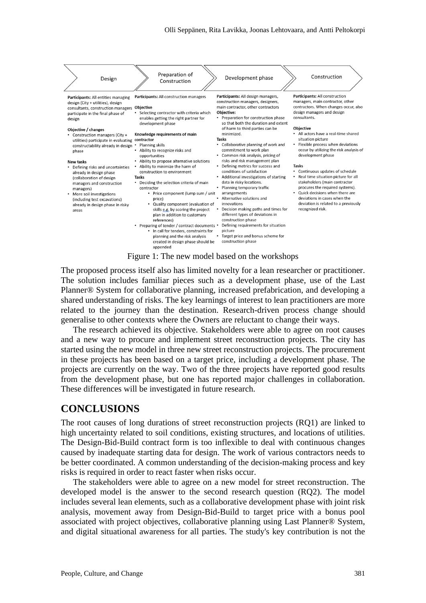| Design                                                                                                                                                                                                                                                                                                                                                                                                                                                                                                                                                                               | Preparation of<br>Construction                                                                                                                                                                                                                                                                                                                                                                                                                                                                                                                                                                                                                                                                                                                                                                                                                       | Development phase                                                                                                                                                                                                                                                                                                                                                                                                                                                                                                                                                                                                                                                                                                                                                                                                                                                                         | Construction                                                                                                                                                                                                                                                                                                                                                                                                                                                                                                                                                                                                                                       |  |  |  |
|--------------------------------------------------------------------------------------------------------------------------------------------------------------------------------------------------------------------------------------------------------------------------------------------------------------------------------------------------------------------------------------------------------------------------------------------------------------------------------------------------------------------------------------------------------------------------------------|------------------------------------------------------------------------------------------------------------------------------------------------------------------------------------------------------------------------------------------------------------------------------------------------------------------------------------------------------------------------------------------------------------------------------------------------------------------------------------------------------------------------------------------------------------------------------------------------------------------------------------------------------------------------------------------------------------------------------------------------------------------------------------------------------------------------------------------------------|-------------------------------------------------------------------------------------------------------------------------------------------------------------------------------------------------------------------------------------------------------------------------------------------------------------------------------------------------------------------------------------------------------------------------------------------------------------------------------------------------------------------------------------------------------------------------------------------------------------------------------------------------------------------------------------------------------------------------------------------------------------------------------------------------------------------------------------------------------------------------------------------|----------------------------------------------------------------------------------------------------------------------------------------------------------------------------------------------------------------------------------------------------------------------------------------------------------------------------------------------------------------------------------------------------------------------------------------------------------------------------------------------------------------------------------------------------------------------------------------------------------------------------------------------------|--|--|--|
| Participants: All entities managing<br>design (City + utilities), design<br>consultants, construction managers<br>participate in the final phase of<br>design<br>Objective / changes<br>• Construction managers (City +<br>utilities) participate in evaluating<br>constructability already in design<br>phase<br><b>New tasks</b><br>• Defining risks and uncertainties<br>already in design phase<br>(collaboration of design<br>managers and construction<br>managers)<br>• More soil investigations<br>(including test excavations)<br>already in design phase in risky<br>areas | Participants: All construction managers<br><b>Objective</b><br>• Selecting contractor with criteria which<br>enables getting the right partner for<br>development phase<br>Knowledge requirements of main<br>contractor<br><b>Planning skills</b><br>Ability to recognize risks and<br>opportunities<br>Ability to propose alternative solutions<br>Ability to minimize the harm of<br>construction to environment<br><b>Tasks</b><br>Deciding the selection criteria of main<br>contractor<br>• Price component (lump sum / unit<br>price)<br>• Quality component (evaluation of<br>skills e.g. by scoring the project<br>plan in addition to customary<br>references)<br>• Preparing of tender / contract documents •<br>• In call for tenders, constraints for<br>planning and the risk analysis<br>created in design phase should be<br>appended | Participants: All design managers,<br>construction managers, designers,<br>main contractor, other contractors<br>Objective:<br>• Preparation for construction phase<br>so that both the duration and extent<br>of harm to third parties can be<br>minimized.<br><b>Tasks</b><br>• Collaborative planning of work and<br>commitment to work plan<br>• Common risk analysis, pricing of<br>risks and risk management plan<br>• Defining metrics for success and<br>conditions of satisfaction<br>• Additional investigations of starting<br>data in risky locations.<br>• Planning temporary traffic<br>arrangements<br>Alternative solutions and<br>innovations<br>Decision making paths and times for<br>different types of deviations in<br>construction phase<br>Defining requirements for situation<br>picture<br>Target price and bonus scheme for<br>$\bullet$<br>construction phase | Participants: All construction<br>managers, main contractor, other<br>contractors. When changes occur, also<br>design managers and design<br>consultants.<br><b>Objective</b><br>• All actors have a real-time shared<br>situation picture<br>• Flexible process when deviations<br>occur by utilizing the risk analysis of<br>development phase<br><b>Tasks</b><br>Continuous updates of schedule<br>Real time situation picture for all<br>٠<br>stakeholders (main contractor<br>procures the required systems).<br>• Quick decisions when there are<br>deviations in cases when the<br>deviation is related to a previously<br>recognized risk. |  |  |  |
| Figure 1: The new model based on the workshops                                                                                                                                                                                                                                                                                                                                                                                                                                                                                                                                       |                                                                                                                                                                                                                                                                                                                                                                                                                                                                                                                                                                                                                                                                                                                                                                                                                                                      |                                                                                                                                                                                                                                                                                                                                                                                                                                                                                                                                                                                                                                                                                                                                                                                                                                                                                           |                                                                                                                                                                                                                                                                                                                                                                                                                                                                                                                                                                                                                                                    |  |  |  |

The proposed process itself also has limited novelty for a lean researcher or practitioner. The solution includes familiar pieces such as a development phase, use of the Last Planner® System for collaborative planning, increased prefabrication, and developing a shared understanding of risks. The key learnings of interest to lean practitioners are more related to the journey than the destination. Research-driven process change should generalise to other contexts where the Owners are reluctant to change their ways.

The research achieved its objective. Stakeholders were able to agree on root causes and a new way to procure and implement street reconstruction projects. The city has started using the new model in three new street reconstruction projects. The procurement in these projects has been based on a target price, including a development phase. The projects are currently on the way. Two of the three projects have reported good results from the development phase, but one has reported major challenges in collaboration. These differences will be investigated in future research.

#### **CONCLUSIONS**

The root causes of long durations of street reconstruction projects (RQ1) are linked to high uncertainty related to soil conditions, existing structures, and locations of utilities. The Design-Bid-Build contract form is too inflexible to deal with continuous changes caused by inadequate starting data for design. The work of various contractors needs to be better coordinated. A common understanding of the decision-making process and key risks is required in order to react faster when risks occur.

The stakeholders were able to agree on a new model for street reconstruction. The developed model is the answer to the second research question (RQ2). The model includes several lean elements, such as a collaborative development phase with joint risk analysis, movement away from Design-Bid-Build to target price with a bonus pool associated with project objectives, collaborative planning using Last Planner® System, and digital situational awareness for all parties. The study's key contribution is not the